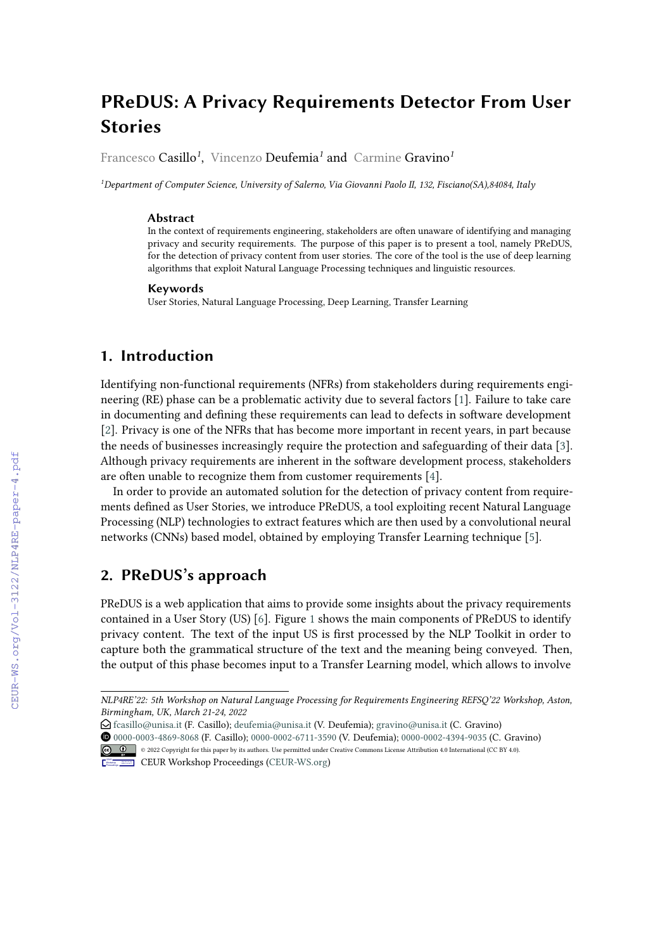# **PReDUS: A Privacy Requirements Detector From User Stories**

Francesco Casillo*<sup>1</sup>* , Vincenzo Deufemia*<sup>1</sup>* and Carmine Gravino*<sup>1</sup>*

*<sup>1</sup>Department of Computer Science, University of Salerno, Via Giovanni Paolo II, 132, Fisciano(SA),84084, Italy*

#### **Abstract**

In the context of requirements engineering, stakeholders are often unaware of identifying and managing privacy and security requirements. The purpose of this paper is to present a tool, namely PReDUS, for the detection of privacy content from user stories. The core of the tool is the use of deep learning algorithms that exploit Natural Language Processing techniques and linguistic resources.

#### **Keywords**

User Stories, Natural Language Processing, Deep Learning, Transfer Learning

### **1. Introduction**

Identifying non-functional requirements (NFRs) from stakeholders during requirements engineering (RE) phase can be a problematic activity due to several factors [\[1\]](#page--1-0). Failure to take care in documenting and defining these requirements can lead to defects in software development [\[2\]](#page--1-1). Privacy is one of the NFRs that has become more important in recent years, in part because the needs of businesses increasingly require the protection and safeguarding of their data [\[3\]](#page--1-2). Although privacy requirements are inherent in the software development process, stakeholders are often unable to recognize them from customer requirements [\[4\]](#page--1-3).

In order to provide an automated solution for the detection of privacy content from requirements defined as User Stories, we introduce PReDUS, a tool exploiting recent Natural Language Processing (NLP) technologies to extract features which are then used by a convolutional neural networks (CNNs) based model, obtained by employing Transfer Learning technique [\[5\]](#page--1-4).

# **2. PReDUS's approach**

PReDUS is a web application that aims to provide some insights about the privacy requirements contained in a User Story (US) [\[6\]](#page--1-5). Figure [1](#page--1-6) shows the main components of PReDUS to identify privacy content. The text of the input US is first processed by the NLP Toolkit in order to capture both the grammatical structure of the text and the meaning being conveyed. Then, the output of this phase becomes input to a Transfer Learning model, which allows to involve

- $\bigodot$  [fcasillo@unisa.it](mailto:fcasillo@unisa.it) (F. Casillo); [deufemia@unisa.it](mailto:deufemia@unisa.it) (V. Deufemia); [gravino@unisa.it](mailto:gravino@unisa.it) (C. Gravino)
- Orcid [0000-0003-4869-8068](https://orcid.org/0000-0003-4869-8068) (F. Casillo); [0000-0002-6711-3590](https://orcid.org/0000-0002-6711-3590) (V. Deufemia); [0000-0002-4394-9035](https://orcid.org/0000-0002-4394-9035) (C. Gravino) © 2022 Copyright for this paper by its authors. Use permitted under Creative Commons License Attribution 4.0 International (CC BY 4.0).



*NLP4RE'22: 5th Workshop on Natural Language Processing for Requirements Engineering REFSQ'22 Workshop, Aston, Birmingham, UK, March 21-24, 2022*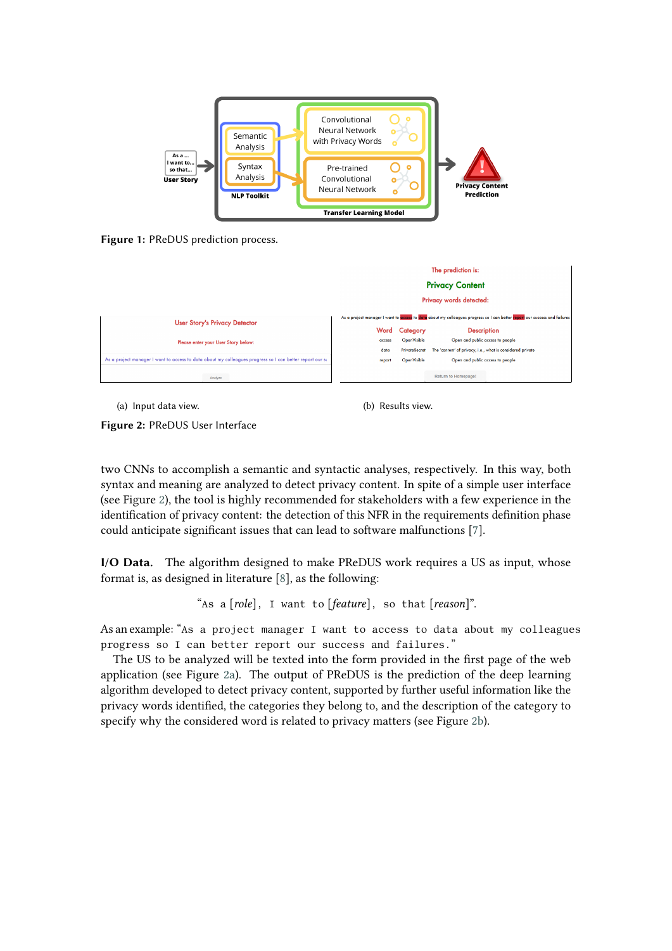

**Figure 1:** PReDUS prediction process.

<span id="page-1-0"></span>

<span id="page-1-1"></span>(a) Input data view. (b) Results view.

<span id="page-1-2"></span>

**Figure 2:** PReDUS User Interface

two CNNs to accomplish a semantic and syntactic analyses, respectively. In this way, both syntax and meaning are analyzed to detect privacy content. In spite of a simple user interface (see Figure [2\)](#page-1-0), the tool is highly recommended for stakeholders with a few experience in the identification of privacy content: the detection of this NFR in the requirements definition phase could anticipate significant issues that can lead to software malfunctions [\[7\]](#page-3-0).

**I/O Data.** The algorithm designed to make PReDUS work requires a US as input, whose format is, as designed in literature [\[8\]](#page-3-1), as the following:

"As a [*role*], I want to [*feature*], so that [*reason*]".

As an example: "As a project manager I want to access to data about my colleagues progress so I can better report our success and failures."

The US to be analyzed will be texted into the form provided in the first page of the web application (see Figure [2a\)](#page-1-1). The output of PReDUS is the prediction of the deep learning algorithm developed to detect privacy content, supported by further useful information like the privacy words identified, the categories they belong to, and the description of the category to specify why the considered word is related to privacy matters (see Figure [2b\)](#page-1-2).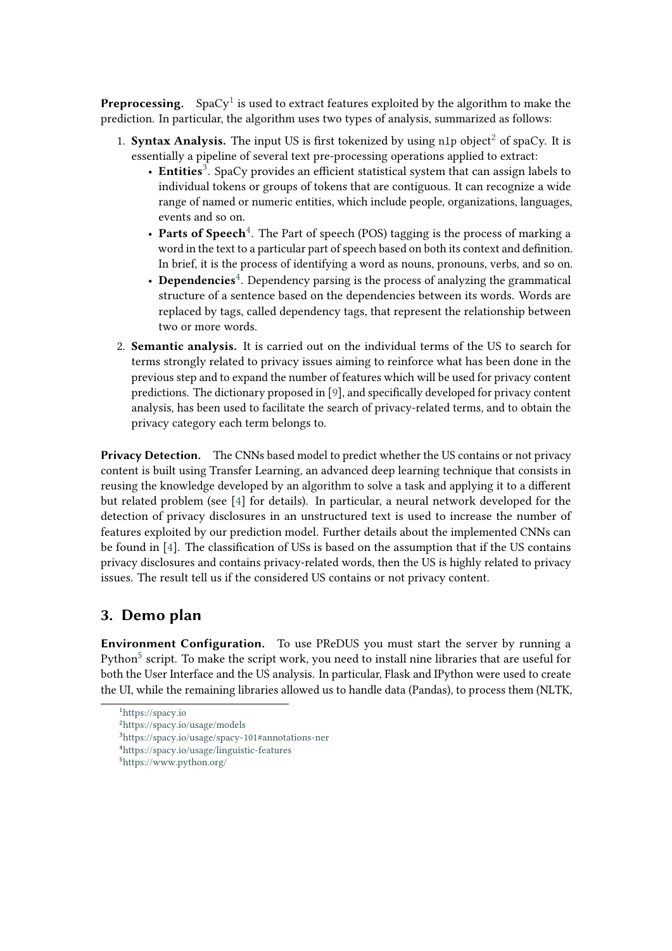**Preprocessing.** SpaCy<sup>[1](#page-2-0)</sup> is used to extract features exploited by the algorithm to make the prediction. In particular, the algorithm uses two types of analysis, summarized as follows:

- 1. **Syntax Analysis.** The input US is first tokenized by using n1p object<sup>[2](#page-2-1)</sup> of spaCy. It is essentially a pipeline of several text pre-processing operations applied to extract:
	- Entities<sup>[3](#page-2-2)</sup>. SpaCy provides an efficient statistical system that can assign labels to individual tokens or groups of tokens that are contiguous. It can recognize a wide range of named or numeric entities, which include people, organizations, languages, events and so on.
	- Parts of Speech<sup>[4](#page-2-3)</sup>. The Part of speech (POS) tagging is the process of marking a word in the text to a particular part of speech based on both its context and definition. In brief, it is the process of identifying a word as nouns, pronouns, verbs, and so on.
	- Dependencies<sup>[4](#page-2-3)</sup>. Dependency parsing is the process of analyzing the grammatical structure of a sentence based on the dependencies between its words. Words are replaced by tags, called dependency tags, that represent the relationship between two or more words.
- 2. **Semantic analysis.** It is carried out on the individual terms of the US to search for terms strongly related to privacy issues aiming to reinforce what has been done in the previous step and to expand the number of features which will be used for privacy content predictions. The dictionary proposed in [\[9\]](#page-3-2), and specifically developed for privacy content analysis, has been used to facilitate the search of privacy-related terms, and to obtain the privacy category each term belongs to.

**Privacy Detection.** The CNNs based model to predict whether the US contains or not privacy content is built using Transfer Learning, an advanced deep learning technique that consists in reusing the knowledge developed by an algorithm to solve a task and applying it to a different but related problem (see [\[4\]](#page-3-3) for details). In particular, a neural network developed for the detection of privacy disclosures in an unstructured text is used to increase the number of features exploited by our prediction model. Further details about the implemented CNNs can be found in [\[4\]](#page-3-3). The classification of USs is based on the assumption that if the US contains privacy disclosures and contains privacy-related words, then the US is highly related to privacy issues. The result tell us if the considered US contains or not privacy content.

# **3. Demo plan**

**Environment Configuration.** To use PReDUS you must start the server by running a Python<sup>[5](#page-2-4)</sup> script. To make the script work, you need to install nine libraries that are useful for both the User Interface and the US analysis. In particular, Flask and IPython were used to create the UI, while the remaining libraries allowed us to handle data (Pandas), to process them (NLTK,

<span id="page-2-0"></span><sup>1</sup><https://spacy.io>

<span id="page-2-1"></span><sup>2</sup><https://spacy.io/usage/models>

<span id="page-2-2"></span><sup>3</sup><https://spacy.io/usage/spacy-101#annotations-ner>

<span id="page-2-3"></span><sup>4</sup><https://spacy.io/usage/linguistic-features>

<span id="page-2-4"></span><sup>5</sup><https://www.python.org/>